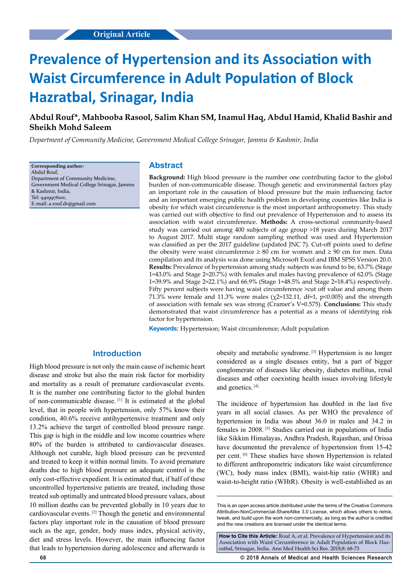# **Prevalence of Hypertension and its Association with Waist Circumference in Adult Population of Block Hazratbal, Srinagar, India**

## **Abdul Rouf\*, Mahbooba Rasool, Salim Khan SM, Inamul Haq, Abdul Hamid, Khalid Bashir and Sheikh Mohd Saleem**

*Department of Community Medicine, Government Medical College Srinagar, Jammu & Kashmir, India*

**Corresponding author:** Abdul Rouf, Department of Community Medicine, Government Medical College Srinagar, Jammu & Kashmir, India, Tel: 941997600; E-mail: a.rouf.dr@gmail.com

#### **Abstract**

**Background:** High blood pressure is the number one contributing factor to the global burden of non-communicable disease. Though genetic and environmental factors play an important role in the causation of blood pressure but the main influencing factor and an important emerging public health problem in developing countries like India is obesity for which waist circumference is the most important anthropometry. This study was carried out with objective to find out prevalence of Hypertension and to assess its association with waist circumference. **Methods:** A cross-sectional community-based study was carried out among 400 subjects of age group >18 years during March 2017 to August 2017. Multi stage random sampling method was used and Hypertension was classified as per the 2017 guideline (updated JNC 7). Cut-off points used to define the obesity were waist circumference  $\geq 80$  cm for women and  $\geq 90$  cm for men. Data compilation and its analysis was done using Microsoft Excel and IBM SPSS Version 20.0. **Results:** Prevalence of hypertension among study subjects was found to be, 63.7% (Stage 1=43.0% and Stage 2=20.7%) with females and males having prevalence of 62.0% (Stage 1=39.9% and Stage 2=22.1%) and 66.9% (Stage 1=48.5% and Stage 2=18.4%) respectively. Fifty percent subjects were having waist circumference >cut off value and among them 71.3% were female and 11.3% were males ( $\chi$ 2=132.11, df=1, p<0.005) and the strength of association with female sex was strong (Cramer's V=0.575). **Conclusions:** This study demonstrated that waist circumference has a potential as a means of identifying risk factor for hypertension.

**Keywords:** Hypertension; Waist circumference; Adult population

## **Introduction**

High blood pressure is not only the main cause of ischemic heart disease and stroke but also the main risk factor for morbidity and mortality as a result of premature cardiovascular events. It is the number one contributing factor to the global burden of non-communicable disease. [1] It is estimated at the global level, that in people with hypertension, only 57% know their condition, 40.6% receive antihypertensive treatment and only 13.2% achieve the target of controlled blood pressure range. This gap is high in the middle and low income countries where 80% of the burden is attributed to cardiovascular diseases. Although not curable, high blood pressure can be prevented and treated to keep it within normal limits. To avoid premature deaths due to high blood pressure an adequate control is the only cost-effective expedient. It is estimated that, if half of these uncontrolled hypertensive patients are treated, including those treated sub optimally and untreated blood pressure values, about 10 million deaths can be prevented globally in 10 years due to cardiovascular events. [2] Though the genetic and environmental factors play important role in the causation of blood pressure such as the age, gender, body mass index, physical activity, diet and stress levels. However, the main influencing factor that leads to hypertension during adolescence and afterwards is

obesity and metabolic syndrome. [3] Hypertension is no longer considered as a single diseases entity, but a part of bigger conglomerate of diseases like obesity, diabetes mellitus, renal diseases and other coexisting health issues involving lifestyle and genetics. [4]

The incidence of hypertension has doubled in the last five years in all social classes. As per WHO the prevalence of hypertension in India was about 36.0 in males and 34.2 in females in 2008. [5] Studies carried out in populations of India like Sikkim Himalayas, Andhra Pradesh, Rajasthan, and Orissa have documented the prevalence of hypertension from 15-42 per cent. [6] These studies have shown Hypertension is related to different anthropometric indicators like waist circumference (WC), body mass index (BMI), waist-hip ratio (WHR) and waist-to-height ratio (WHtR). Obesity is well-established as an

How to Cite this Article: Rouf A, et al. Prevalence of Hypertension and its Association with Waist Circumference in Adult Population of Block Hazratbal, Srinagar, India. Ann Med Health Sci Res. 2018;8: 68-73

**68 © 2018 Annals of Medical and Health Sciences Research** 

This is an open access article distributed under the terms of the Creative Commons Attribution-NonCommercial-ShareAlike 3.0 License, which allows others to remix, tweak, and build upon the work non‑commercially, as long as the author is credited and the new creations are licensed under the identical terms.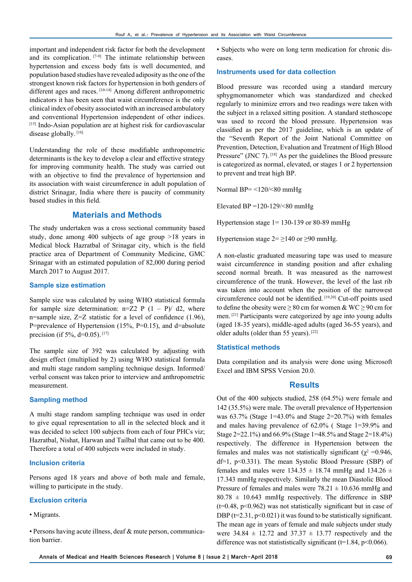important and independent risk factor for both the development and its complication. [7-9] The intimate relationship between hypertension and excess body fats is well documented, and population based studies have revealed adiposity as the one of the strongest known risk factors for hypertension in both genders of different ages and races. [10-14] Among different anthropometric indicators it has been seen that waist circumference is the only clinical index of obesity associated with an increased ambulatory and conventional Hypertension independent of other indices. [15] Indo-Asian population are at highest risk for cardiovascular disease globally. [16]

Understanding the role of these modifiable anthropometric determinants is the key to develop a clear and effective strategy for improving community health. The study was carried out with an objective to find the prevalence of hypertension and its association with waist circumference in adult population of district Srinagar, India where there is paucity of community based studies in this field.

### **Materials and Methods**

The study undertaken was a cross sectional community based study, done among 400 subjects of age group >18 years in Medical block Hazratbal of Srinagar city, which is the field practice area of Department of Community Medicine, GMC Srinagar with an estimated population of 82,000 during period March 2017 to August 2017.

#### **Sample size estimation**

Sample size was calculated by using WHO statistical formula for sample size determination:  $n=Z^2$  P  $(1 - P)/d^2$ , where n=sample size, Z=Z statistic for a level of confidence (1.96), P=prevalence of Hypertension  $(15\%, P=0.15)$ , and d=absolute precision (if 5%,  $d=0.05$ ). [17]

The sample size of 392 was calculated by adjusting with design effect (multiplied by 2) using WHO statistical formula and multi stage random sampling technique design. Informed/ verbal consent was taken prior to interview and anthropometric measurement.

#### **Sampling method**

A multi stage random sampling technique was used in order to give equal representation to all in the selected block and it was decided to select 100 subjects from each of four PHCs viz; Hazratbal, Nishat, Harwan and Tailbal that came out to be 400. Therefore a total of 400 subjects were included in study.

#### **Inclusion criteria**

Persons aged 18 years and above of both male and female, willing to participate in the study.

#### **Exclusion criteria**

• Migrants.

• Persons having acute illness, deaf & mute person, communication barrier.

• Subjects who were on long term medication for chronic diseases.

#### **Instruments used for data collection**

Blood pressure was recorded using a standard mercury sphygmomanometer which was standardized and checked regularly to minimize errors and two readings were taken with the subject in a relaxed sitting position. A standard stethoscope was used to record the blood pressure. Hypertension was classified as per the 2017 guideline, which is an update of the "Seventh Report of the Joint National Committee on Prevention, Detection, Evaluation and Treatment of High Blood Pressure" (JNC 7).<sup>[18]</sup> As per the guidelines the Blood pressure is categorized as normal, elevated, or stages 1 or 2 hypertension to prevent and treat high BP.

Normal BP $=$  <120/<80 mmHg

Elevated BP = $120-129$ /<80 mmHg

Hypertension stage 1= 130-139 or 80-89 mmHg

Hypertension stage  $2 = \ge 140$  or  $\ge 90$  mmHg.

A non-elastic graduated measuring tape was used to measure waist circumference in standing position and after exhaling second normal breath. It was measured as the narrowest circumference of the trunk. However, the level of the last rib was taken into account when the position of the narrowest circumference could not be identified. [19,20] Cut-off points used to define the obesity were  $\geq 80$  cm for women & WC  $\geq 90$  cm for men. [21] Participants were categorized by age into young adults (aged 18-35 years), middle-aged adults (aged 36-55 years), and older adults (older than 55 years). [22]

#### **Statistical methods**

Data compilation and its analysis were done using Microsoft Excel and IBM SPSS Version 20.0.

#### **Results**

Out of the 400 subjects studied, 258 (64.5%) were female and 142 (35.5%) were male. The overall prevalence of Hypertension was  $63.7\%$  (Stage 1=43.0% and Stage 2=20.7%) with females and males having prevalence of 62.0% ( Stage 1=39.9% and Stage 2=22.1%) and 66.9% (Stage 1=48.5% and Stage 2=18.4%) respectively. The difference in Hypertension between the females and males was not statistically significant ( $χ² = 0.946$ , df=1, p<0.331). The mean Systolic Blood Pressure (SBP) of females and males were  $134.35 \pm 18.74$  mmHg and  $134.26 \pm 18.74$ 17.343 mmHg respectively. Similarly the mean Diastolic Blood Pressure of females and males were  $78.21 \pm 10.636$  mmHg and  $80.78 \pm 10.643$  mmHg respectively. The difference in SBP  $(t=0.48, p<0.962)$  was not statistically significant but in case of DBP ( $t=2.31$ ,  $p<0.021$ ) it was found to be statistically significant. The mean age in years of female and male subjects under study were  $34.84 \pm 12.72$  and  $37.37 \pm 13.77$  respectively and the difference was not statistically significant ( $t=1.84$ ,  $p<0.066$ ).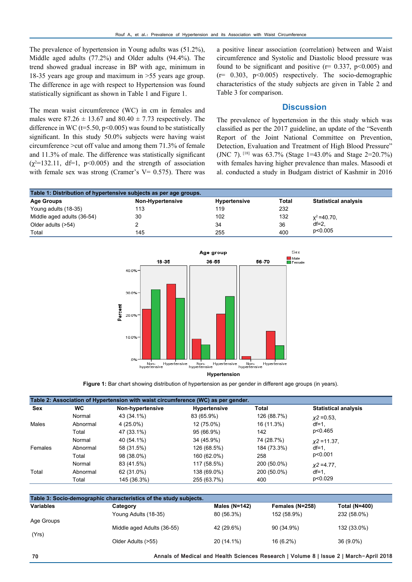The prevalence of hypertension in Young adults was (51.2%), Middle aged adults (77.2%) and Older adults (94.4%). The trend showed gradual increase in BP with age, minimum in 18-35 years age group and maximum in >55 years age group. The difference in age with respect to Hypertension was found statistically significant as shown in Table 1 and Figure 1.

The mean waist circumference (WC) in cm in females and males were  $87.26 \pm 13.67$  and  $80.40 \pm 7.73$  respectively. The difference in WC ( $t=5.50$ ,  $p<0.005$ ) was found to be statistically significant. In this study 50.0% subjects were having waist circumference >cut off value and among them 71.3% of female and 11.3% of male. The difference was statistically significant  $(\chi^2=132.11, df=1, p<0.005)$  and the strength of association with female sex was strong (Cramer's  $V= 0.575$ ). There was a positive linear association (correlation) between and Waist circumference and Systolic and Diastolic blood pressure was found to be significant and positive  $(r= 0.337, p<0.005)$  and  $(r= 0.303, p<0.005)$  respectively. The socio-demographic characteristics of the study subjects are given in Table 2 and Table 3 for comparison.

#### **Discussion**

The prevalence of hypertension in the this study which was classified as per the 2017 guideline, an update of the "Seventh Report of the Joint National Committee on Prevention, Detection, Evaluation and Treatment of High Blood Pressure" (JNC 7). [18] was 63.7% (Stage 1=43.0% and Stage 2=20.7%) with females having higher prevalence than males. Masoodi et al. conducted a study in Budgam district of Kashmir in 2016

| Table 1: Distribution of hypertensive subjects as per age groups. |                         |                     |              |                             |  |
|-------------------------------------------------------------------|-------------------------|---------------------|--------------|-----------------------------|--|
| <b>Age Groups</b>                                                 | <b>Non-Hypertensive</b> | <b>Hypertensive</b> | <b>Total</b> | <b>Statistical analysis</b> |  |
| Young adults (18-35)                                              | 113                     | 119                 | 232          |                             |  |
| Middle aged adults (36-54)                                        | 30                      | 102                 | 132          | $x^2 = 40.70$ ,             |  |
| Older adults (>54)                                                |                         | 34                  | 36           | $df=2$ .                    |  |
| Total                                                             | 145                     | 255                 | 400          | p<0.005                     |  |



#### **Hypertension**

**Figure 1:** Bar chart showing distribution of hypertension as per gender in different age groups (in years).

| <b>Sex</b> | WC.      | Non-hypertensive | <b>Hypertensive</b> | Total       | <b>Statistical analysis</b> |
|------------|----------|------------------|---------------------|-------------|-----------------------------|
|            |          |                  |                     |             |                             |
|            | Normal   | 43 (34.1%)       | 83 (65.9%)          | 126 (88.7%) | $x^2 = 0.53$                |
| Males      | Abnormal | 4 (25.0%)        | 12 (75.0%)          | 16 (11.3%)  | $df=1$ .                    |
|            | Total    | 47 (33.1%)       | 95 (66.9%)          | 142         | p<0.465                     |
|            | Normal   | 40 (54.1%)       | 34 (45.9%)          | 74 (28.7%)  | $x^2$ = 11.37,              |
| Females    | Abnormal | 58 (31.5%)       | 126 (68.5%)         | 184 (73.3%) | $df=1$ .                    |
|            | Total    | 98 (38.0%)       | 160 (62.0%)         | 258         | p<0.001                     |
|            | Normal   | 83 (41.5%)       | 117 (58.5%)         | 200 (50.0%) | $x^2 = 4.77$ ,              |
| Total      | Abnormal | 62 (31.0%)       | 138 (69.0%)         | 200 (50.0%) | $df=1$ .                    |
|            | Total    | 145 (36.3%)      | 255 (63.7%)         | 400         | p<0.029                     |

| Table 3: Socio-demographic characteristics of the study subjects. |                            |               |                 |                      |
|-------------------------------------------------------------------|----------------------------|---------------|-----------------|----------------------|
| <b>Variables</b>                                                  | Category                   | Males (N=142) | Females (N=258) | <b>Total (N=400)</b> |
| Age Groups                                                        | Young Adults (18-35)       | 80 (56.3%)    | 152 (58.9%)     | 232 (58.0%)          |
| (Yrs)                                                             | Middle aged Adults (36-55) | 42 (29.6%)    | 90 (34.9%)      | 132 (33.0%)          |
|                                                                   | Older Adults (>55)         | 20 (14.1%)    | 16 (6.2%)       | 36 (9.0%)            |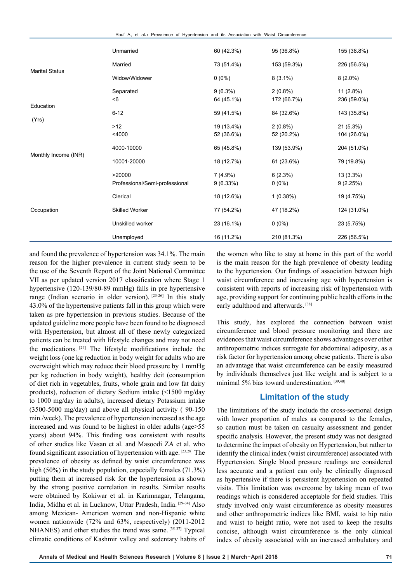Rouf A, et al.: Prevalence of Hypertension and its Association with Waist Circumference

|                       | Unmarried                                | 60 (42.3%)               | 95 (36.8%)                | 155 (38.8%)                |
|-----------------------|------------------------------------------|--------------------------|---------------------------|----------------------------|
| <b>Marital Status</b> | Married                                  | 73 (51.4%)               | 153 (59.3%)               | 226 (56.5%)                |
|                       | Widow/Widower                            | $0(0\%)$                 | $8(3.1\%)$                | $8(2.0\%)$                 |
|                       | Separated<br>$6$                         | $9(6.3\%)$<br>64 (45.1%) | $2(0.8\%)$<br>172 (66.7%) | $11(2.8\%)$<br>236 (59.0%) |
| Education             | $6 - 12$                                 | 59 (41.5%)               | 84 (32.6%)                | 143 (35.8%)                |
| (Yrs)                 | $>12$<br>$<$ 4000                        | 19 (13.4%)<br>52 (36.6%) | $2(0.8\%)$<br>52 (20.2%)  | 21(5.3%)<br>104 (26.0%)    |
| Monthly Income (INR)  | 4000-10000                               | 65 (45.8%)               | 139 (53.9%)               | 204 (51.0%)                |
|                       | 10001-20000                              | 18 (12.7%)               | 61 (23.6%)                | 79 (19.8%)                 |
|                       | >20000<br>Professional/Semi-professional | $7(4.9\%)$<br>9(6.33%)   | 6(2.3%)<br>$0(0\%)$       | $13(3.3\%)$<br>9(2.25%)    |
|                       | Clerical                                 | 18 (12.6%)               | 1(0.38%)                  | 19 (4.75%)                 |
| Occupation            | <b>Skilled Worker</b>                    | 77 (54.2%)               | 47 (18.2%)                | 124 (31.0%)                |
|                       | Unskilled worker                         | 23 (16.1%)               | $0(0\%)$                  | 23 (5.75%)                 |
|                       | Unemployed                               | 16 (11.2%)               | 210 (81.3%)               | 226 (56.5%)                |

and found the prevalence of hypertension was 34.1%. The main reason for the higher prevalence in current study seem to be the use of the Seventh Report of the Joint National Committee VII as per updated version 2017 classification where Stage 1 hypertensive (120-139/80-89 mmHg) falls in pre hypertensive range (Indian scenario in older version). [23-26] In this study 43.0% of the hypertensive patients fall in this group which were taken as pre hypertension in previous studies. Because of the updated guideline more people have been found to be diagnosed with Hypertension, but almost all of these newly categorized patients can be treated with lifestyle changes and may not need the medications. [27] The lifestyle modifications include the weight loss (one kg reduction in body weight for adults who are overweight which may reduce their blood pressure by 1 mmHg per kg reduction in body weight), healthy deit (consumption of diet rich in vegetables, fruits, whole grain and low fat dairy products), reduction of dietary Sodium intake (<1500 mg/day to 1000 mg/day in adults), increased dietary Potassium intake (3500-5000 mg/day) and above all physical activity ( 90-150 min./week). The prevalence of hypertension increased as the age increased and was found to be highest in older adults (age>55 years) about 94%. This finding was consistent with results of other studies like Vasan et al. and Masoodi ZA et al. who found significant association of hypertension with age. [23,28] The prevalence of obesity as defined by waist circumference was high (50%) in the study population, especially females (71.3%) putting them at increased risk for the hypertension as shown by the strong positive correlation in results. Similar results were obtained by Kokiwar et al. in Karimnagar, Telangana, India, Midha et al. in Lucknow, Uttar Pradesh, India. [29-34] Also among Mexican- American women and non-Hispanic white women nationwide (72% and 63%, respectively) (2011-2012 NHANES) and other studies the trend was same. [35-37] Typical climatic conditions of Kashmir valley and sedentary habits of the women who like to stay at home in this part of the world is the main reason for the high prevalence of obesity leading to the hypertension. Our findings of association between high waist circumference and increasing age with hypertension is consistent with reports of increasing risk of hypertension with age, providing support for continuing public health efforts in the early adulthood and afterwards.<sup>[38]</sup>

This study, has explored the connection between waist circumference and blood pressure monitoring and there are evidences that waist circumference shows advantages over other anthropometric indices surrogate for abdominal adiposity, as a risk factor for hypertension among obese patients. There is also an advantage that waist circumference can be easily measured by individuals themselves just like weight and is subject to a minimal 5% bias toward underestimation. [39,40]

### **Limitation of the study**

The limitations of the study include the cross-sectional design with lower proportion of males as compared to the females, so caution must be taken on casualty assessment and gender specific analysis. However, the present study was not designed to determine the impact of obesity on Hypertension, but rather to identify the clinical index (waist circumference) associated with Hypertension. Single blood pressure readings are considered less accurate and a patient can only be clinically diagnosed as hypertensive if there is persistent hypertension on repeated visits. This limitation was overcome by taking mean of two readings which is considered acceptable for field studies. This study involved only waist circumference as obesity measures and other anthropometric indices like BMI, waist to hip ratio and waist to height ratio, were not used to keep the results concise, although waist circumference is the only clinical index of obesity associated with an increased ambulatory and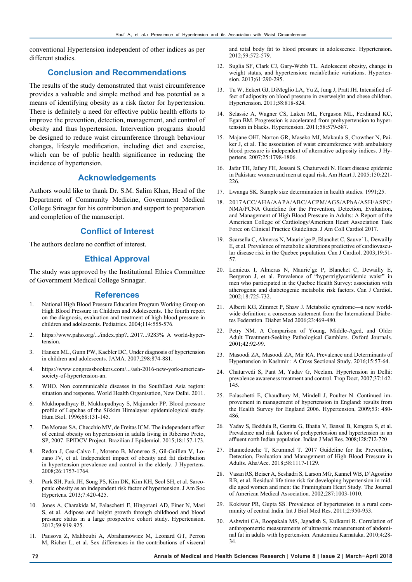conventional Hypertension independent of other indices as per different studies.

## **Conclusion and Recommendations**

The results of the study demonstrated that waist circumference provides a valuable and simple method and has potential as a means of identifying obesity as a risk factor for hypertension. There is definitely a need for effective public health efforts to improve the prevention, detection, management, and control of obesity and thus hypertension. Intervention programs should be designed to reduce waist circumference through behaviour changes, lifestyle modification, including diet and exercise, which can be of public health significance in reducing the incidence of hypertension.

## **Acknowledgements**

Authors would like to thank Dr. S.M. Salim Khan, Head of the Department of Community Medicine, Government Medical College Srinagar for his contribution and support to preparation and completion of the manuscript.

## **Conflict of Interest**

The authors declare no conflict of interest.

## **Ethical Approval**

The study was approved by the Institutional Ethics Committee of Government Medical College Srinagar.

#### **References**

- 1. National High Blood Pressure Education Program Working Group on High Blood Pressure in Children and Adolescents. The fourth report on the diagnosis, evaluation and treatment of high blood pressure in children and adolescents. Pediatrics. 2004;114:555-576.
- 2. [https://www.paho.org/.../index.php?...2017...9283%](https://www.paho.org/.../index.php?...2017...9283%25) A world-hypertension.
- 3. Hansen ML, Gunn PW, Kaebler DC, Under diagnosis of hypertension in children and adolescents. JAMA. 2007;298:874-881.
- 4. https://www.congressbookers.com/.../ash-2016-new-york-americansociety-of-hypertension-an.
- 5. WHO. Non communicable diseases in the SouthEast Asia region: situation and response. World Health Organisation, New Delhi. 2011.
- 6. Mukhopadhyay B, Mukhopadhyay S, Majumder PP. Blood pressure profile of Lepchas of the Sikkim Himalayas: epidemiological study. Hum Biol. 1996;68:131-145.
- 7. De Moraes SA, Checchio MV, de Freitas ICM. The independent effect of central obesity on hypertension in adults living in Ribeirao Preto, SP, 2007. EPIDCV Project. Brazilian J Epidemiol. 2015;18:157-173.
- 8. Redon J, Cea-Calvo L, Moreno B, Monereo S, Gil-Guillen V, Lozano JV, et al. Independent impact of obesity and fat distribution in hypertension prevalence and control in the elderly. J Hypertens. 2008;26:1757-1764.
- 9. Park SH, Park JH, Song PS, Kim DK, Kim KH, Seol SH, et al. Sarcopenic obesity as an independent risk factor of hypertension. J Am Soc Hypertens. 2013;7:420-425.
- 10. Jones A, Charakida M, Falaschetti E, Hingorani AD, Finer N, Masi S, et al. Adipose and height growth through childhood and blood pressure status in a large prospective cohort study. Hypertension. 2012;59:919-925.
- 11. Pausova Z, Mahboubi A, Abrahamowicz M, Leonard GT, Perron M, Richer L, et al. Sex differences in the contributions of visceral

and total body fat to blood pressure in adolescence. Hypertension. 2012;59:572-579.

- 12. Suglia SF, Clark CJ, Gary-Webb TL. Adolescent obesity, change in weight status, and hypertension: racial/ethnic variations. Hypertension. 2013;61:290-295.
- 13. Tu W, Eckert GJ, DiMeglio LA, Yu Z, Jung J, Pratt JH. Intensified effect of adiposity on blood pressure in overweight and obese children. Hypertension. 2011;58:818-824.
- 14. Selassie A, Wagner CS, Laken ML, Ferguson ML, Ferdinand KC, Egan BM. Progression is accelerated from prehypertension to hypertension in blacks. Hypertension. 2011;58:579-587.
- 15. Majane OHI, Norton GR, Maseko MJ, Makaula S, Crowther N, Paiker J, et al. The association of waist circumference with ambulatory blood pressure is independent of alternative adiposity indices. J Hypertens. 2007;25:1798-1806.
- 16. Jafar TH, Jafary FH, Jessani S, Chaturvedi N. Heart disease epidemic in Pakistan: women and men at equal risk. Am Heart J. 2005;150:221- 226.
- 17. Lwanga SK. Sample size determination in health studies. 1991;25.
- 18. 2017ACC/AHA/AAPA/ABC/ACPM/AGS/APhA/ASH/ASPC/ NMA/PCNA Guideline for the Prevention, Detection, Evaluation, and Management of High Blood Pressure in Adults: A Report of the American College of Cardiology/American Heart Association Task Force on Clinical Practice Guidelines. J Am Coll Cardiol 2017.
- 19. Scarsella C, Almeras N, Maurie`ge P, Blanchet C, Sauve´ L, Dewailly E, et al. Prevalence of metabolic alterations predictive of cardiovascular disease risk in the Quebec population. Can J Cardiol. 2003;19:51- 57.
- 20. Lemieux I, Almeras N, Maurie`ge P, Blanchet C, Dewailly E, Bergeron J, et al. Prevalence of "hypertriglyceridemic waist" in men who participated in the Quebec Health Survey: association with atherogenic and diabetogenic metabolic risk factors. Can J Cardiol. 2002;18:725-732.
- 21. Alberti KG, Zimmet P, Shaw J. Metabolic syndrome—a new worldwide definition: a consensus statement from the International Diabetes Federation. Diabet Med 2006;23:469-480.
- 22. Petry NM. A Comparison of Young, Middle-Aged, and Older Adult Treatment-Seeking Pathological Gamblers. Oxford Journals. 2001;42:92-99.
- 23. Masoodi ZA, Masoodi ZA, Mir RA. Prevalence and Determinants of Hypertension in Kashmir : A Cross Sectional Study. 2016;15:57-64.
- 24. Chaturvedi S, Pant M, Yadav G, Neelam. Hypertension in Delhi: prevalence awareness treatment and control. Trop Doct, 2007;37:142- 145.
- 25. Falaschetti E, Chaudhury M, Mindell J, Poulter N. Continued improvement in management of hypertension in England: results from the Health Survey for England 2006. Hypertension, 2009;53: 480- 486.
- 26. Yadav S, Boddula R, Genitta G, Bhatia V, Bansal B, Kongara S, et al. Prevalence and risk factors of prehypertension and hypertension in an affluent north Indian population. Indian J Med Res. 2008;128:712-720
- 27. Hannedouche T, Krummel T. 2017 Guideline for the Prevention, Detection, Evaluation and Management of High Blood Pressure in Adults. Aha/Acc. 2018;58:1117-1129.
- 28. Vasan RS, Beiser A, Seshadri S, Larson MG, Kannel WB, D'Agostino RB, et al. Residual life time risk for developing hypertension in middle aged women and men: the Framingham Heart Study. The Journal of American Medical Association. 2002;287:1003-1010.
- 29. Kokiwar PR, Gupta SS. Prevalence of hypertension in a rural community of central India. Int J Biol Med Res. 2011;2:950-953.
- 30. Ashwini CA, Roopakala MS, Jagadish S, Kulkarni R. Correlation of anthropometric measurements of ultrasonic measurement of abdominal fat in adults with hypertension. Anatomica Karnataka. 2010;4:28- 34.